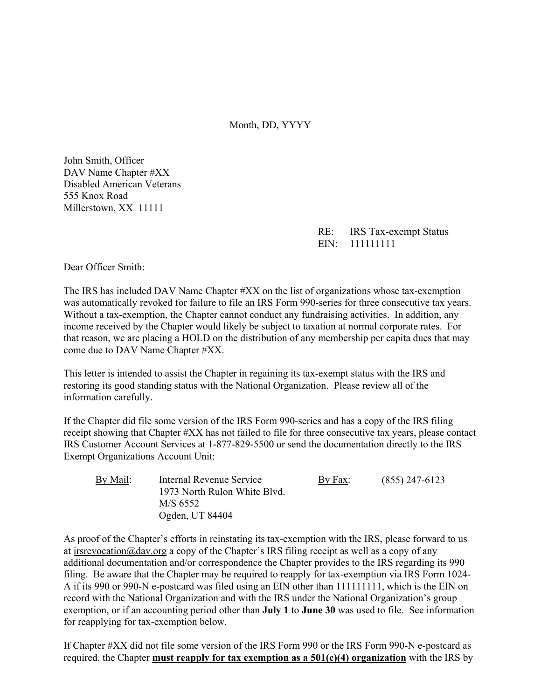Month, DD, YYYY

John Smith, Officer DAV Name Chapter #XX Disabled American Veterans 555 Knox Road Millerstown, XX 11111

> RE: IRS Tax-exempt Status EIN: 111111111

Dear Officer Smith:

The IRS has included DAV Name Chapter #XX on the list of organizations whose tax-exemption was automatically revoked for failure to file an IRS Form 990-series for three consecutive tax years. Without a tax-exemption, the Chapter cannot conduct any fundraising activities. In addition, any income received by the Chapter would likely be subject to taxation at normal corporate rates. For that reason, we are placing a HOLD on the distribution of any membership per capita dues that may come due to DAV Name Chapter #XX.

This letter is intended to assist the Chapter in regaining its tax-exempt status with the IRS and restoring its good standing status with the National Organization. Please review all of the information carefully.

If the Chapter did file some version of the IRS Form 990-series and has a copy of the IRS filing receipt showing that Chapter #XX has not failed to file for three consecutive tax years, please contact IRS Customer Account Services at 1-877-829-5500 or send the documentation directly to the IRS Exempt Organizations Account Unit:

| By Mail: | Internal Revenue Service     | By Fax: | $(855)$ 247-6123 |
|----------|------------------------------|---------|------------------|
|          | 1973 North Rulon White Blvd. |         |                  |
|          | M/S 6552                     |         |                  |
|          | Ogden, UT 84404              |         |                  |

As proof of the Chapter's efforts in reinstating its tax-exemption with the IRS, please forward to us at irsrevocation@dav.org a copy of the Chapter's IRS filing receipt as well as a copy of any additional documentation and/or correspondence the Chapter provides to the IRS regarding its 990 filing. Be aware that the Chapter may be required to reapply for tax-exemption via IRS Form 1024- A if its 990 or 990-N e-postcard was filed using an EIN other than 111111111, which is the EIN on record with the National Organization and with the IRS under the National Organization's group exemption, or if an accounting period other than **July 1** to **June 30** was used to file. See information for reapplying for tax-exemption below.

If Chapter #XX did not file some version of the IRS Form 990 or the IRS Form 990-N e-postcard as required, the Chapter **must reapply for tax exemption as a 501(c)(4) organization** with the IRS by